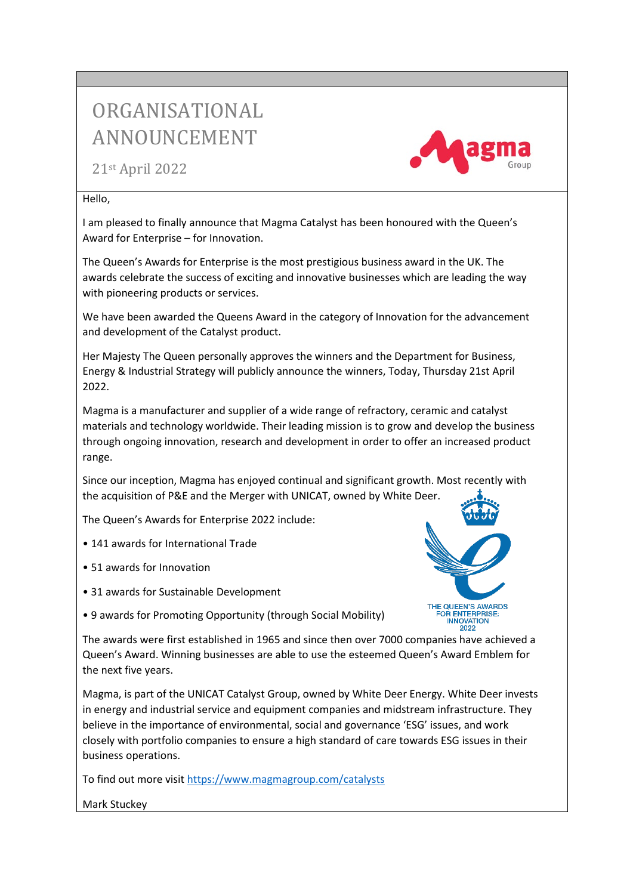## ORGANISATIONAL ANNOUNCEMENT

21st April 2022

## Hello,

I am pleased to finally announce that Magma Catalyst has been honoured with the Queen's Award for Enterprise – for Innovation.

The Queen's Awards for Enterprise is the most prestigious business award in the UK. The awards celebrate the success of exciting and innovative businesses which are leading the way with pioneering products or services.

We have been awarded the Queens Award in the category of Innovation for the advancement and development of the Catalyst product.

Her Majesty The Queen personally approves the winners and the Department for Business, Energy & Industrial Strategy will publicly announce the winners, Today, Thursday 21st April 2022.

Magma is a manufacturer and supplier of a wide range of refractory, ceramic and catalyst materials and technology worldwide. Their leading mission is to grow and develop the business through ongoing innovation, research and development in order to offer an increased product range.

Since our inception, Magma has enjoyed continual and significant growth. Most recently with the acquisition of P&E and the Merger with UNICAT, owned by White Deer.

The Queen's Awards for Enterprise 2022 include:

- 141 awards for International Trade
- 51 awards for Innovation
- 31 awards for Sustainable Development
- 9 awards for Promoting Opportunity (through Social Mobility)

The awards were first established in 1965 and since then over 7000 companies have achieved a Queen's Award. Winning businesses are able to use the esteemed Queen's Award Emblem for the next five years.

Magma, is part of the UNICAT Catalyst Group, owned by White Deer Energy. White Deer invests in energy and industrial service and equipment companies and midstream infrastructure. They believe in the importance of environmental, social and governance 'ESG' issues, and work closely with portfolio companies to ensure a high standard of care towards ESG issues in their business operations.

To find out more visit https://www.magmagroup.com/catalysts

Mark Stuckey



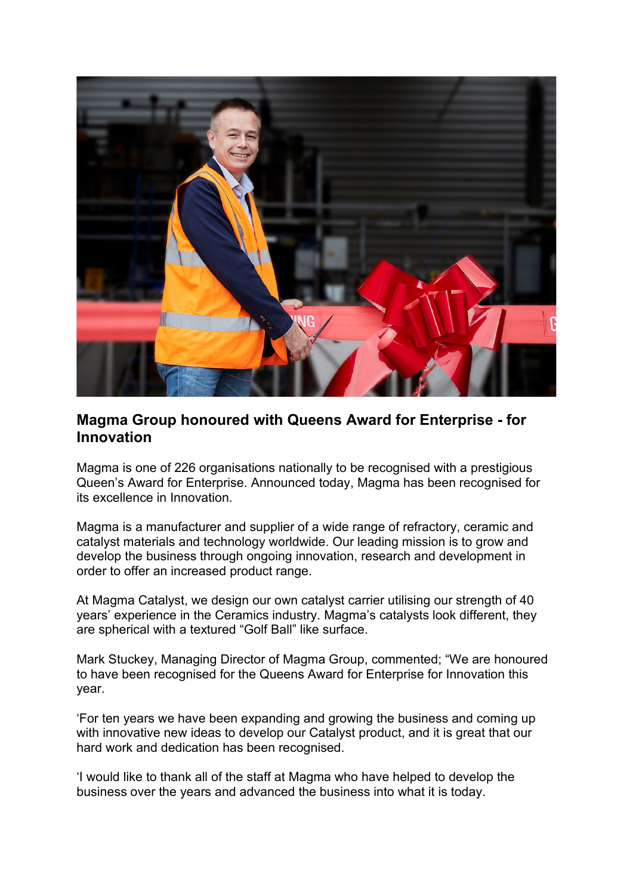

## **Magma Group honoured with Queens Award for Enterprise - for Innovation**

Magma is one of 226 organisations nationally to be recognised with a prestigious Queen's Award for Enterprise. Announced today, Magma has been recognised for its excellence in Innovation.

Magma is a manufacturer and supplier of a wide range of refractory, ceramic and catalyst materials and technology worldwide. Our leading mission is to grow and develop the business through ongoing innovation, research and development in order to offer an increased product range.

At Magma Catalyst, we design our own catalyst carrier utilising our strength of 40 years' experience in the Ceramics industry. Magma's catalysts look different, they are spherical with a textured "Golf Ball" like surface.

Mark Stuckey, Managing Director of Magma Group, commented; "We are honoured to have been recognised for the Queens Award for Enterprise for Innovation this year.

'For ten years we have been expanding and growing the business and coming up with innovative new ideas to develop our Catalyst product, and it is great that our hard work and dedication has been recognised.

'I would like to thank all of the staff at Magma who have helped to develop the business over the years and advanced the business into what it is today.